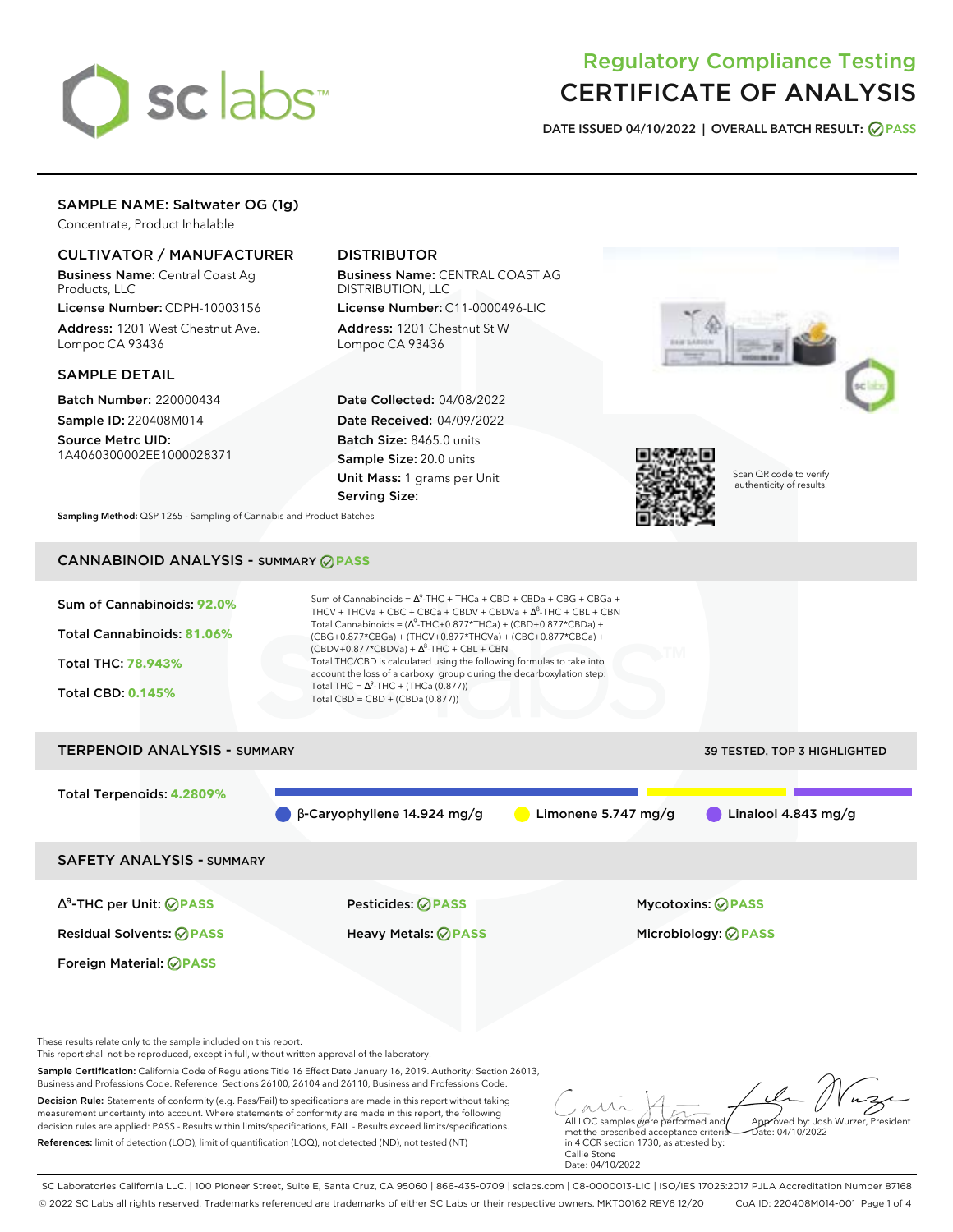# sclabs<sup>\*</sup>

## Regulatory Compliance Testing CERTIFICATE OF ANALYSIS

**DATE ISSUED 04/10/2022 | OVERALL BATCH RESULT: PASS**

## SAMPLE NAME: Saltwater OG (1g)

Concentrate, Product Inhalable

#### CULTIVATOR / MANUFACTURER

Business Name: Central Coast Ag Products, LLC

License Number: CDPH-10003156 Address: 1201 West Chestnut Ave. Lompoc CA 93436

#### SAMPLE DETAIL

Batch Number: 220000434 Sample ID: 220408M014 Source Metrc UID:

1A4060300002EE1000028371

## DISTRIBUTOR

Business Name: CENTRAL COAST AG DISTRIBUTION, LLC

License Number: C11-0000496-LIC Address: 1201 Chestnut St W Lompoc CA 93436

Date Collected: 04/08/2022 Date Received: 04/09/2022 Batch Size: 8465.0 units Sample Size: 20.0 units Unit Mass: 1 grams per Unit Serving Size:





Scan QR code to verify authenticity of results.

**Sampling Method:** QSP 1265 - Sampling of Cannabis and Product Batches

## CANNABINOID ANALYSIS - SUMMARY **PASS**



∆ 9 -THC per Unit: **PASS** Pesticides: **PASS** Mycotoxins: **PASS**

Foreign Material: **PASS**

Residual Solvents: **PASS** Heavy Metals: **PASS** Microbiology: **PASS**

These results relate only to the sample included on this report.

This report shall not be reproduced, except in full, without written approval of the laboratory.

Sample Certification: California Code of Regulations Title 16 Effect Date January 16, 2019. Authority: Section 26013, Business and Professions Code. Reference: Sections 26100, 26104 and 26110, Business and Professions Code.

Decision Rule: Statements of conformity (e.g. Pass/Fail) to specifications are made in this report without taking measurement uncertainty into account. Where statements of conformity are made in this report, the following decision rules are applied: PASS - Results within limits/specifications, FAIL - Results exceed limits/specifications. References: limit of detection (LOD), limit of quantification (LOQ), not detected (ND), not tested (NT)

All LQC samples were performed and met the prescribed acceptance criteria Approved by: Josh Wurzer, President  $hat: 04/10/2022$ 

in 4 CCR section 1730, as attested by: Callie Stone Date: 04/10/2022

SC Laboratories California LLC. | 100 Pioneer Street, Suite E, Santa Cruz, CA 95060 | 866-435-0709 | sclabs.com | C8-0000013-LIC | ISO/IES 17025:2017 PJLA Accreditation Number 87168 © 2022 SC Labs all rights reserved. Trademarks referenced are trademarks of either SC Labs or their respective owners. MKT00162 REV6 12/20 CoA ID: 220408M014-001 Page 1 of 4